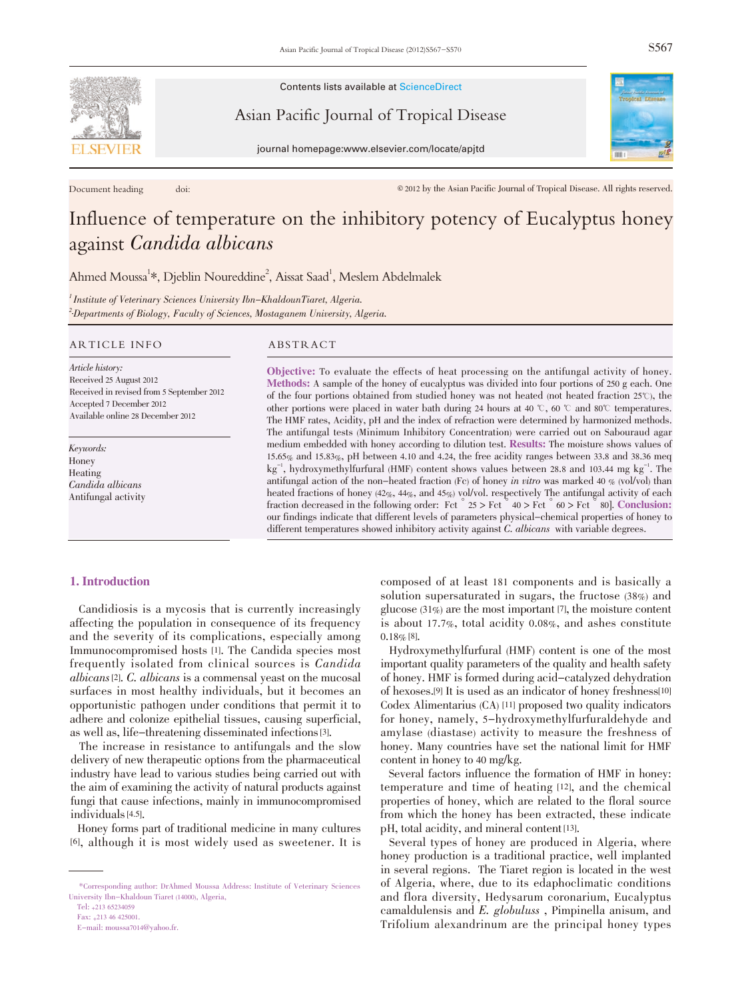

Contents lists available at ScienceDirect

Asian Pacific Journal of Tropical Disease

journal homepage:www.elsevier.com/locate/apjtd

Document heading doi: doi:  $\otimes$  2012 by the Asian Pacific Journal of Tropical Disease. All rights reserved.

# Influence of temperature on the inhibitory potency of Eucalyptus honey against Candida albicans

Ahmed Moussa<sup>1</sup>\*, Djeblin Noureddine<sup>2</sup>, Aissat Saad<sup>1</sup>, Meslem Abdelmalek

 $^{1}$ Institute of Veterinary Sciences University Ibn-KhaldounTiaret, Algeria. <sup>2</sup>-Departments of Biology, Faculty of Sciences, Mostaganem University, Algeria.

#### ARTICLE INFO ABSTRACT

Article history: Received 25 August 2012 Received in revised from 5 September 2012 Accepted 7 December 2012 Available online 28 December 2012

Keywords: Honey Heating Candida albicans Antifungal activity

Objective: To evaluate the effects of heat processing on the antifungal activity of honey. Methods: A sample of the honey of eucalyptus was divided into four portions of <sup>250</sup> g each. One of the four portions obtained from studied honey was not heated (not heated fraction  $25^{\circ}$ ), the other portions were placed in water bath during 24 hours at 40  $\degree$ , 60  $\degree$  and 80 $\degree$  temperatures. The HMF rates, Acidity, pH and the index of refraction were determined by harmonized methods. The antifungal tests (Minimum Inhibitory Concentration) were carried out on Sabouraud agar medium embedded with honey according to dilution test. Results: The moisture shows values of 15.65% and 15.83%, pH between 4.10 and 4.24, the free acidity ranges between 33.8 and 38.36 meq  $\text{kg}^{-1}$ , hydroxymethylfurfural (HMF) content shows values between 28.8 and 103.44 mg  $\text{kg}^{-1}$ . The antifungal action of the non-heated fraction (Fc) of honey in vitro was marked 40  $\%$  (vol/vol) than heated fractions of honey (42%, 44%, and 45%) vol/vol. respectively The antifungal activity of each fraction decreased in the following order: Fct  $\degree$  25 > Fct  $\degree$  40 > Fct  $\degree$  60 > Fct  $\degree$  80]. Conclusion: our findings indicate that different levels of parameters physical-chemical properties of honey to different temperatures showed inhibitory activity against C. albicans with variable degrees.

# 1. Introduction

Candidiosis is a mycosis that is currently increasingly affecting the population in consequence of its frequency and the severity of its complications, especially among Immunocompromised hosts [1]. The Candida species most frequently isolated from clinical sources is Candida albicans [2]. C. albicans is a commensal yeast on the mucosal surfaces in most healthy individuals, but it becomes an opportunistic pathogen under conditions that permit it to adhere and colonize epithelial tissues, causing superficial, as well as, life-threatening disseminated infections [3].

The increase in resistance to antifungals and the slow delivery of new therapeutic options from the pharmaceutical industry have lead to various studies being carried out with the aim of examining the activity of natural products against fungi that cause infections, mainly in immunocompromised individuals [4.5].

Honey forms part of traditional medicine in many cultures [6], although it is most widely used as sweetener. It is composed of at least 181 components and is basically a solution supersaturated in sugars, the fructose (38%) and glucose (31%) are the most important [7], the moisture content is about 17.7%, total acidity 0.08%, and ashes constitute  $0.18\%$  [8].

Hydroxymethylfurfural (HMF) content is one of the most important quality parameters of the quality and health safety of honey. HMF is formed during acid-catalyzed dehydration of hexoses.[9] It is used as an indicator of honey freshness[10] Codex Alimentarius (CA) [11] proposed two quality indicators for honey, namely, 5-hydroxymethylfurfuraldehyde and amylase (diastase) activity to measure the freshness of honey. Many countries have set the national limit for HMF content in honey to 40 mg/kg.

Several factors influence the formation of HMF in honey: temperature and time of heating [12], and the chemical properties of honey, which are related to the floral source from which the honey has been extracted, these indicate pH, total acidity, and mineral content [13].

Several types of honey are produced in Algeria, where honey production is a traditional practice, well implanted in several regions. The Tiaret region is located in the west of Algeria, where, due to its edaphoclimatic conditions and flora diversity, Hedysarum coronarium, Eucalyptus camaldulensis and E. globuluss , Pimpinella anisum, and Trifolium alexandrinum are the principal honey types

<sup>\*</sup>Corresponding author: DrAhmed Moussa Address: Institute of Veterinary Sciences University Ibn-Khaldoun Tiaret (14000), Algeria,

Tel: +213 65234059

Fax: +213 46 425001.

E-mail: moussa7014@yahoo.fr.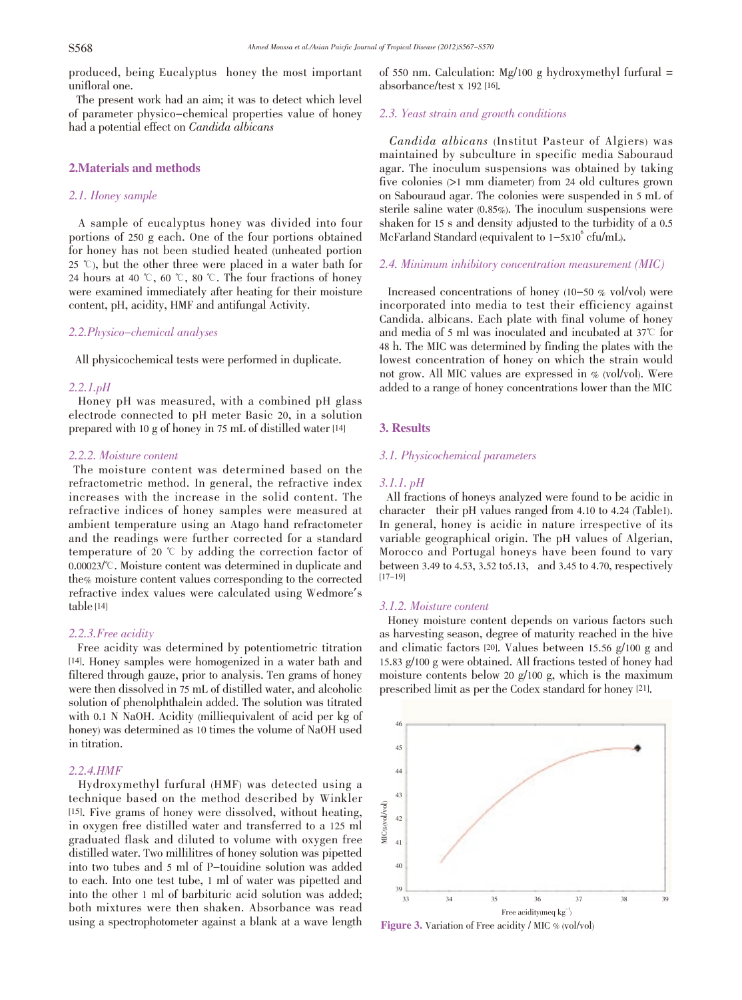produced, being Eucalyptus honey the most important unifloral one.

The present work had an aim; it was to detect which level of parameter physico-chemical properties value of honey had a potential effect on Candida albicans

# 2.Materials and methods

# 2.1. Honey sample

A sample of eucalyptus honey was divided into four portions of 250 g each. One of the four portions obtained for honey has not been studied heated (unheated portion 25  $\degree$ ), but the other three were placed in a water bath for 24 hours at 40  $\degree$ , 60  $\degree$ , 80  $\degree$ . The four fractions of honey were examined immediately after heating for their moisture content, pH, acidity, HMF and antifungal Activity.

# 2.2.Physico-chemical analyses

All physicochemical tests were performed in duplicate.

# 2.2.1.pH

Honey pH was measured, with a combined pH glass electrode connected to pH meter Basic 20, in a solution prepared with 10 g of honey in 75 mL of distilled water [14]

#### 2.2.2. Moisture content

The moisture content was determined based on the refractometric method. In general, the refractive index increases with the increase in the solid content. The refractive indices of honey samples were measured at ambient temperature using an Atago hand refractometer and the readings were further corrected for a standard temperature of 20  $\degree$  by adding the correction factor of 0.00023/℃. Moisture content was determined in duplicate and the% moisture content values corresponding to the corrected refractive index values were calculated using Wedmore's table [14]

#### 2.2.3.Free acidity

Free acidity was determined by potentiometric titration [14]. Honey samples were homogenized in a water bath and filtered through gauze, prior to analysis. Ten grams of honey were then dissolved in 75 mL of distilled water, and alcoholic solution of phenolphthalein added. The solution was titrated with 0.1 N NaOH. Acidity (milliequivalent of acid per kg of honey) was determined as 10 times the volume of NaOH used in titration.

## 2.2.4.HMF

Hydroxymethyl furfural (HMF) was detected using a technique based on the method described by Winkler [15]. Five grams of honey were dissolved, without heating, in oxygen free distilled water and transferred to a 125 ml graduated flask and diluted to volume with oxygen free distilled water. Two millilitres of honey solution was pipetted into two tubes and 5 ml of P-touidine solution was added to each. Into one test tube, 1 ml of water was pipetted and into the other 1 ml of barbituric acid solution was added; both mixtures were then shaken. Absorbance was read using a spectrophotometer against a blank at a wave length of 550 nm. Calculation: Mg/100 g hydroxymethyl furfural  $=$ absorbance/test x 192 [16].

# 2.3. Yeast strain and growth conditions

 Candida albicans (Institut Pasteur of Algiers) was maintained by subculture in specific media Sabouraud agar. The inoculum suspensions was obtained by taking five colonies (>1 mm diameter) from 24 old cultures grown on Sabouraud agar. The colonies were suspended in 5 mL of sterile saline water (0.85%). The inoculum suspensions were shaken for 15 s and density adjusted to the turbidity of a 0.5 McFarland Standard (equivalent to  $1-5x10^6$  cfu/mL).

#### 2.4. Minimum inhibitory concentration measurement (MIC)

Increased concentrations of honey (10-50 % vol/vol) were incorporated into media to test their efficiency against Candida. albicans. Each plate with final volume of honey and media of 5 ml was inoculated and incubated at  $37^{\circ}$  for 48 h. The MIC was determined by finding the plates with the lowest concentration of honey on which the strain would not grow. All MIC values are expressed in % (vol/vol). Were added to a range of honey concentrations lower than the MIC

#### 3. Results

# 3.1. Physicochemical parameters

#### 3.1.1. pH

All fractions of honeys analyzed were found to be acidic in character their pH values ranged from 4.10 to 4.24 (Table1). In general, honey is acidic in nature irrespective of its variable geographical origin. The pH values of Algerian, Morocco and Portugal honeys have been found to vary between 3.49 to 4.53, 3.52 to5.13, and 3.45 to 4.70, respectively [17-19]

## 3.1.2. Moisture content

Honey moisture content depends on various factors such as harvesting season, degree of maturity reached in the hive and climatic factors [20]. Values between 15.56 g/100 g and 15.83 g/100 g were obtained. All fractions tested of honey had moisture contents below 20 g/100 g, which is the maximum prescribed limit as per the Codex standard for honey [21].



Figure 3. Variation of Free acidity / MIC % (vol/vol)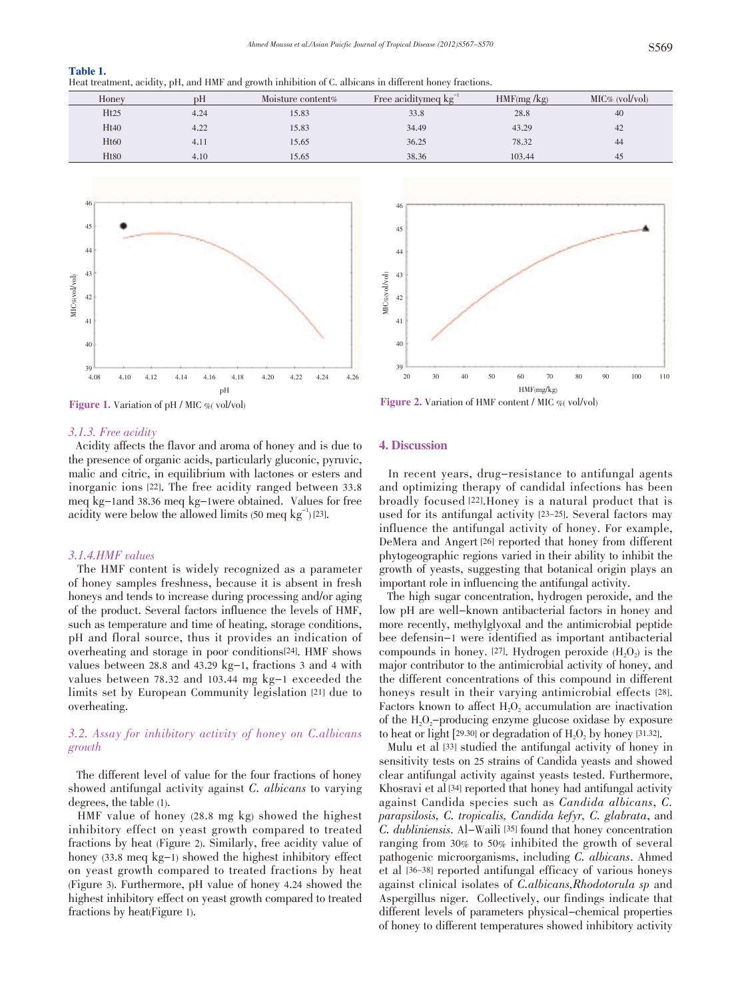| Table 1.                                                                                                |  |
|---------------------------------------------------------------------------------------------------------|--|
| Heat treatment, acidity, pH, and HMF and growth inhibition of C. albicans in different honey fractions. |  |
|                                                                                                         |  |

| Honey            | pН   | Moisture content <sub>%</sub> | Free aciditymed $kg^{-1}$ | HMF(mg/kg) | $MIC\%$ (vol/vol) |
|------------------|------|-------------------------------|---------------------------|------------|-------------------|
| Ht25             | 4.24 | 15.83                         | 33.8                      | 28.8       | 40                |
| Ht40             | 4.22 | 15.83                         | 34.49                     | 43.29      | 42                |
| H <sub>t60</sub> | 4.11 | 15.65                         | 36.25                     | 78.32      | 44                |
| H <sub>t80</sub> | 4.10 | 15.65                         | 38.36                     | 103.44     | 45                |



Figure 1. Variation of pH / MIC % vol/vol)

#### 3.1.3. Free acidity

Acidity affects the flavor and aroma of honey and is due to the presence of organic acids, particularly gluconic, pyruvic, malic and citric, in equilibrium with lactones or esters and inorganic ions [22]. The free acidity ranged between 33.8 meq kg-1and 38.36 meq kg-1were obtained. Values for free acidity were below the allowed limits  $(50 \text{ med kg}^{-1})$  [23].

#### 3.1.4.HMF values

The HMF content is widely recognized as a parameter of honey samples freshness, because it is absent in fresh honeys and tends to increase during processing and/or aging of the product. Several factors influence the levels of HMF, such as temperature and time of heating, storage conditions, pH and floral source, thus it provides an indication of overheating and storage in poor conditions[24]. HMF shows values between 28.8 and 43.29 kg-1, fractions 3 and 4 with values between 78.32 and 103.44 mg kg-1 exceeded the limits set by European Community legislation [21] due to overheating.

# 3.2. Assay for inhibitory activity of honey on C.albicans growth

The different level of value for the four fractions of honey showed antifungal activity against C. albicans to varying degrees, the table (1).

HMF value of honey (28.8 mg kg) showed the highest inhibitory effect on yeast growth compared to treated fractions by heat (Figure 2). Similarly, free acidity value of honey (33.8 meq kg-1) showed the highest inhibitory effect on yeast growth compared to treated fractions by heat (Figure 3). Furthermore, pH value of honey 4.24 showed the highest inhibitory effect on yeast growth compared to treated fractions by heat(Figure 1).



Figure 2. Variation of HMF content / MIC %( vol/vol)

#### 4. Discussion

In recent years, drug-resistance to antifungal agents and optimizing therapy of candidal infections has been broadly focused [22].Honey is a natural product that is used for its antifungal activity [23-25]. Several factors may influence the antifungal activity of honey. For example, DeMera and Angert [26] reported that honey from different phytogeographic regions varied in their ability to inhibit the growth of yeasts, suggesting that botanical origin plays an important role in influencing the antifungal activity.

The high sugar concentration, hydrogen peroxide, and the low pH are well-known antibacterial factors in honey and more recently, methylglyoxal and the antimicrobial peptide bee defensin-1 were identified as important antibacterial compounds in honey. [27]. Hydrogen peroxide  $(H_2O_2)$  is the major contributor to the antimicrobial activity of honey, and the different concentrations of this compound in different honeys result in their varying antimicrobial effects [28]. Factors known to affect H<sub>2</sub>O<sub>2</sub> accumulation are inactivation of the  $H_2O_2$ -producing enzyme glucose oxidase by exposure to heat or light  $[29.30]$  or degradation of  $H<sub>2</sub>O<sub>2</sub>$  by honey  $[31.32]$ .

Mulu et al [33] studied the antifungal activity of honey in sensitivity tests on 25 strains of Candida yeasts and showed clear antifungal activity against yeasts tested. Furthermore, Khosravi et al [34] reported that honey had antifungal activity against Candida species such as Candida albicans, C. parapsilosis, C. tropicalis, Candida kefyr, C. glabrata, and C. dubliniensis. Al-Waili [35] found that honey concentration ranging from 30% to 50% inhibited the growth of several pathogenic microorganisms, including C. albicans. Ahmed et al [36-38] reported antifungal efficacy of various honeys against clinical isolates of C.albicans,Rhodotorula sp and Aspergillus niger. Collectively, our findings indicate that different levels of parameters physical-chemical properties of honey to different temperatures showed inhibitory activity